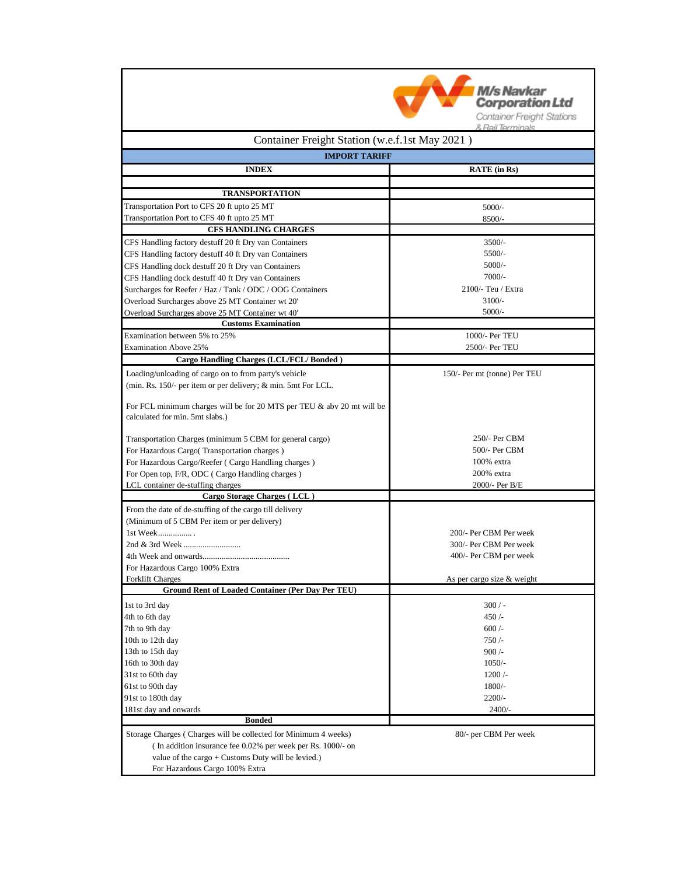

| Container Freight Station (w.e.f.1st May 2021)                         |                              |
|------------------------------------------------------------------------|------------------------------|
| <b>IMPORT TARIFF</b>                                                   |                              |
| <b>INDEX</b>                                                           | <b>RATE</b> (in Rs)          |
|                                                                        |                              |
| <b>TRANSPORTATION</b>                                                  |                              |
| Transportation Port to CFS 20 ft upto 25 MT                            | 5000/-                       |
| Transportation Port to CFS 40 ft upto 25 MT                            | 8500/-                       |
| <b>CFS HANDLING CHARGES</b>                                            |                              |
| CFS Handling factory destuff 20 ft Dry van Containers                  | $3500/-$                     |
| CFS Handling factory destuff 40 ft Dry van Containers                  | $5500/-$                     |
| CFS Handling dock destuff 20 ft Dry van Containers                     | $5000/-$                     |
| CFS Handling dock destuff 40 ft Dry van Containers                     | $7000/-$                     |
| Surcharges for Reefer / Haz / Tank / ODC / OOG Containers              | 2100/- Teu / Extra           |
| Overload Surcharges above 25 MT Container wt 20'                       | $3100/-$                     |
| Overload Surcharges above 25 MT Container wt 40'                       | 5000/-                       |
| <b>Customs Examination</b>                                             |                              |
| Examination between 5% to 25%                                          | 1000/- Per TEU               |
| <b>Examination Above 25%</b>                                           | 2500/- Per TEU               |
| Cargo Handling Charges (LCL/FCL/Bonded)                                |                              |
| Loading/unloading of cargo on to from party's vehicle                  | 150/- Per mt (tonne) Per TEU |
| (min. Rs. 150/- per item or per delivery; & min. 5mt For LCL.          |                              |
| For FCL minimum charges will be for 20 MTS per TEU & abv 20 mt will be |                              |
| calculated for min. 5mt slabs.)                                        |                              |
| Transportation Charges (minimum 5 CBM for general cargo)               | 250/- Per CBM                |
| For Hazardous Cargo(Transportation charges)                            | 500/- Per CBM                |
| For Hazardous Cargo/Reefer (Cargo Handling charges)                    | 100% extra                   |
| For Open top, F/R, ODC (Cargo Handling charges)                        | 200% extra                   |
| LCL container de-stuffing charges                                      | 2000/- Per B/E               |
| Cargo Storage Charges (LCL)                                            |                              |
| From the date of de-stuffing of the cargo till delivery                |                              |
| (Minimum of 5 CBM Per item or per delivery)                            |                              |
| 1st Week                                                               | 200/- Per CBM Per week       |
|                                                                        | 300/- Per CBM Per week       |
|                                                                        | 400/- Per CBM per week       |
| For Hazardous Cargo 100% Extra<br><b>Forklift Charges</b>              | As per cargo size & weight   |
| <b>Ground Rent of Loaded Container (Per Day Per TEU)</b>               |                              |
|                                                                        |                              |
| 1st to 3rd day                                                         | $300/-$                      |
| 4th to 6th day                                                         | 450/                         |
| 7th to 9th day<br>10th to 12th day                                     | $600/-$                      |
| 13th to 15th day                                                       | 750/<br>900/                 |
| 16th to 30th day                                                       | $1050/-$                     |
| 31st to 60th day                                                       | 1200/                        |
| 61st to 90th day                                                       | $1800/-$                     |
| 91st to 180th day                                                      | $2200/-$                     |
| 181st day and onwards                                                  | $2400/-$                     |
| <b>Bonded</b>                                                          |                              |
| Storage Charges (Charges will be collected for Minimum 4 weeks)        | 80/- per CBM Per week        |
| (In addition insurance fee 0.02% per week per Rs. 1000/- on            |                              |
| value of the cargo $+$ Customs Duty will be levied.)                   |                              |
| For Hazardous Cargo 100% Extra                                         |                              |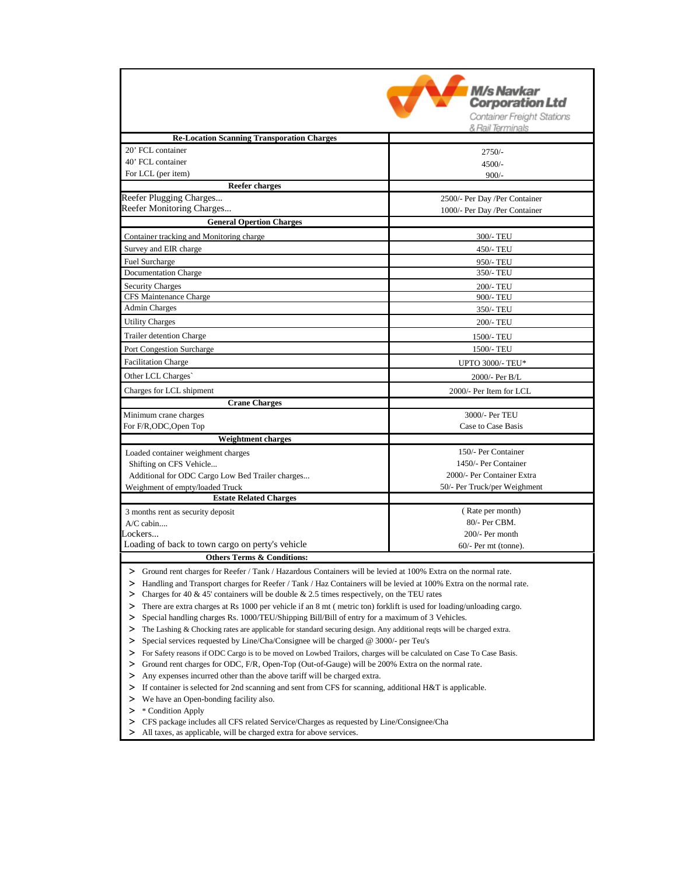|                                                                                                                            | M/s Navkar                     |  |
|----------------------------------------------------------------------------------------------------------------------------|--------------------------------|--|
|                                                                                                                            | <b>Corporation Ltd</b>         |  |
|                                                                                                                            | Container Freight Stations     |  |
| <b>Re-Location Scanning Transporation Charges</b>                                                                          | & Rail Terminals               |  |
| 20' FCL container                                                                                                          | $2750/-$                       |  |
| 40' FCL container                                                                                                          | $4500/-$                       |  |
| For LCL (per item)                                                                                                         | $900/-$                        |  |
| <b>Reefer charges</b>                                                                                                      |                                |  |
| Reefer Plugging Charges                                                                                                    | 2500/- Per Day / Per Container |  |
| Reefer Monitoring Charges                                                                                                  | 1000/- Per Day / Per Container |  |
| <b>General Opertion Charges</b>                                                                                            |                                |  |
| Container tracking and Monitoring charge                                                                                   | 300/- TEU                      |  |
| Survey and EIR charge                                                                                                      | 450/- TEU                      |  |
| Fuel Surcharge                                                                                                             | 950/- TEU                      |  |
| <b>Documentation Charge</b>                                                                                                | 350/- TEU                      |  |
| <b>Security Charges</b>                                                                                                    | 200/- TEU                      |  |
| CFS Maintenance Charge                                                                                                     | 900/- TEU                      |  |
| <b>Admin Charges</b>                                                                                                       | 350/- TEU                      |  |
| <b>Utility Charges</b>                                                                                                     | 200/- TEU                      |  |
| <b>Trailer detention Charge</b>                                                                                            | 1500/- TEU                     |  |
| Port Congestion Surcharge                                                                                                  | 1500/- TEU                     |  |
| <b>Facilitation Charge</b>                                                                                                 | <b>UPTO 3000/- TEU*</b>        |  |
| Other LCL Charges                                                                                                          | 2000/- Per B/L                 |  |
| Charges for LCL shipment                                                                                                   | 2000/- Per Item for LCL        |  |
| <b>Crane Charges</b>                                                                                                       |                                |  |
| Minimum crane charges                                                                                                      | 3000/- Per TEU                 |  |
| For F/R,ODC,Open Top                                                                                                       | Case to Case Basis             |  |
| <b>Weightment charges</b>                                                                                                  |                                |  |
| Loaded container weighment charges                                                                                         | 150/- Per Container            |  |
| Shifting on CFS Vehicle                                                                                                    | 1450/- Per Container           |  |
| Additional for ODC Cargo Low Bed Trailer charges                                                                           | 2000/- Per Container Extra     |  |
| Weighment of empty/loaded Truck<br><b>Estate Related Charges</b>                                                           | 50/- Per Truck/per Weighment   |  |
|                                                                                                                            | (Rate per month)               |  |
| 3 months rent as security deposit<br>$A/C$ cabin                                                                           | 80/- Per CBM.                  |  |
| Lockers                                                                                                                    | 200/- Per month                |  |
| Loading of back to town cargo on perty's vehicle                                                                           | $60/-$ Per mt (tonne).         |  |
| <b>Others Terms &amp; Conditions:</b>                                                                                      |                                |  |
| > Ground rent charges for Reefer / Tank / Hazardous Containers will be levied at 100% Extra on the normal rate.            |                                |  |
| Handling and Transport charges for Reefer / Tank / Haz Containers will be levied at 100% Extra on the normal rate.<br>⋗    |                                |  |
| $\geq$ Charges for 40 & 45' containers will be double & 2.5 times respectively, on the TEU rates                           |                                |  |
| There are extra charges at Rs 1000 per vehicle if an 8 mt (metric ton) forklift is used for loading/unloading cargo.<br>≻  |                                |  |
| Special handling charges Rs. 1000/TEU/Shipping Bill/Bill of entry for a maximum of 3 Vehicles.<br>>                        |                                |  |
| The Lashing & Chocking rates are applicable for standard securing design. Any additional reqts will be charged extra.<br>> |                                |  |
| Special services requested by Line/Cha/Consignee will be charged @ 3000/- per Teu's<br>≻                                   |                                |  |
| > For Safety reasons if ODC Cargo is to be moved on Lowbed Trailors, charges will be calculated on Case To Case Basis.     |                                |  |
| Ground rent charges for ODC, F/R, Open-Top (Out-of-Gauge) will be 200% Extra on the normal rate.<br>≻                      |                                |  |
| Any expenses incurred other than the above tariff will be charged extra.<br>≻                                              |                                |  |
| > If container is selected for 2nd scanning and sent from CFS for scanning, additional H&T is applicable.                  |                                |  |
| > We have an Open-bonding facility also.<br>$>$ * Condition Apply                                                          |                                |  |
| > CFS package includes all CFS related Service/Charges as requested by Line/Consignee/Cha                                  |                                |  |
| > All taxes, as applicable, will be charged extra for above services.                                                      |                                |  |
|                                                                                                                            |                                |  |